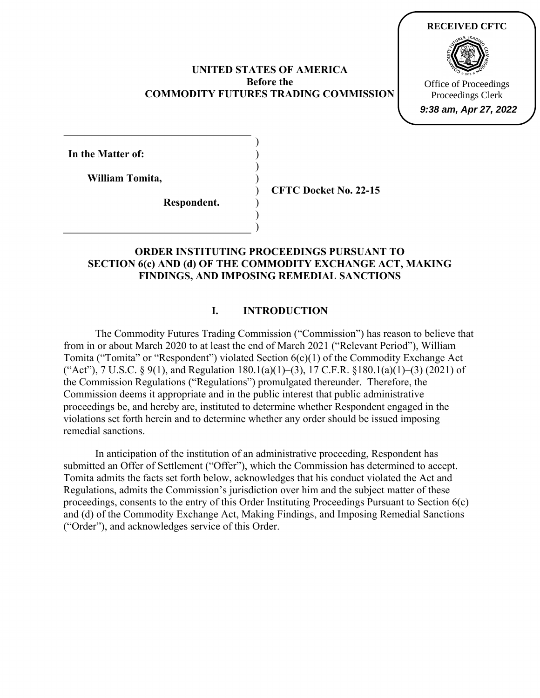#### **UNITED STATES OF AMERICA Before the COMMODITY FUTURES TRADING COMMISSION**

) ) ) ) ) ) )



**In the Matter of:** 

**William Tomita,** 

**Respondent.**

**CFTC Docket No. 22-15**

# ) **ORDER INSTITUTING PROCEEDINGS PURSUANT TO SECTION 6(c) AND (d) OF THE COMMODITY EXCHANGE ACT, MAKING FINDINGS, AND IMPOSING REMEDIAL SANCTIONS**

## **I. INTRODUCTION**

The Commodity Futures Trading Commission ("Commission") has reason to believe that from in or about March 2020 to at least the end of March 2021 ("Relevant Period"), William Tomita ("Tomita" or "Respondent") violated Section 6(c)(1) of the Commodity Exchange Act ("Act"), 7 U.S.C. § 9(1), and Regulation  $180.1(a)(1)–(3)$ , 17 C.F.R. §180.1(a)(1)–(3) (2021) of the Commission Regulations ("Regulations") promulgated thereunder. Therefore, the Commission deems it appropriate and in the public interest that public administrative proceedings be, and hereby are, instituted to determine whether Respondent engaged in the violations set forth herein and to determine whether any order should be issued imposing remedial sanctions.

In anticipation of the institution of an administrative proceeding, Respondent has submitted an Offer of Settlement ("Offer"), which the Commission has determined to accept. Tomita admits the facts set forth below, acknowledges that his conduct violated the Act and Regulations, admits the Commission's jurisdiction over him and the subject matter of these proceedings, consents to the entry of this Order Instituting Proceedings Pursuant to Section 6(c) and (d) of the Commodity Exchange Act, Making Findings, and Imposing Remedial Sanctions ("Order"), and acknowledges service of this Order.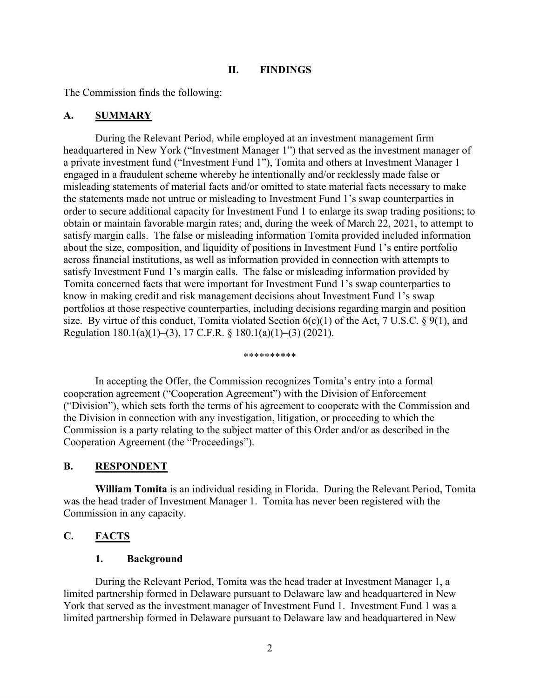#### **II. FINDINGS**

The Commission finds the following:

#### **A. SUMMARY**

During the Relevant Period, while employed at an investment management firm headquartered in New York ("Investment Manager 1") that served as the investment manager of a private investment fund ("Investment Fund 1"), Tomita and others at Investment Manager 1 engaged in a fraudulent scheme whereby he intentionally and/or recklessly made false or misleading statements of material facts and/or omitted to state material facts necessary to make the statements made not untrue or misleading to Investment Fund 1's swap counterparties in order to secure additional capacity for Investment Fund 1 to enlarge its swap trading positions; to obtain or maintain favorable margin rates; and, during the week of March 22, 2021, to attempt to satisfy margin calls. The false or misleading information Tomita provided included information about the size, composition, and liquidity of positions in Investment Fund 1's entire portfolio across financial institutions, as well as information provided in connection with attempts to satisfy Investment Fund 1's margin calls. The false or misleading information provided by Tomita concerned facts that were important for Investment Fund 1's swap counterparties to know in making credit and risk management decisions about Investment Fund 1's swap portfolios at those respective counterparties, including decisions regarding margin and position size. By virtue of this conduct, Tomita violated Section  $6(c)(1)$  of the Act, 7 U.S.C. § 9(1), and Regulation 180.1(a)(1)–(3), 17 C.F.R. § 180.1(a)(1)–(3) (2021).

#### \*\*\*\*\*\*\*\*\*\*

 In accepting the Offer, the Commission recognizes Tomita's entry into a formal cooperation agreement ("Cooperation Agreement") with the Division of Enforcement ("Division"), which sets forth the terms of his agreement to cooperate with the Commission and the Division in connection with any investigation, litigation, or proceeding to which the Commission is a party relating to the subject matter of this Order and/or as described in the Cooperation Agreement (the "Proceedings").

#### **B. RESPONDENT**

**William Tomita** is an individual residing in Florida. During the Relevant Period, Tomita was the head trader of Investment Manager 1. Tomita has never been registered with the Commission in any capacity.

# **C. FACTS**

#### **1. Background**

During the Relevant Period, Tomita was the head trader at Investment Manager 1, a limited partnership formed in Delaware pursuant to Delaware law and headquartered in New York that served as the investment manager of Investment Fund 1. Investment Fund 1 was a limited partnership formed in Delaware pursuant to Delaware law and headquartered in New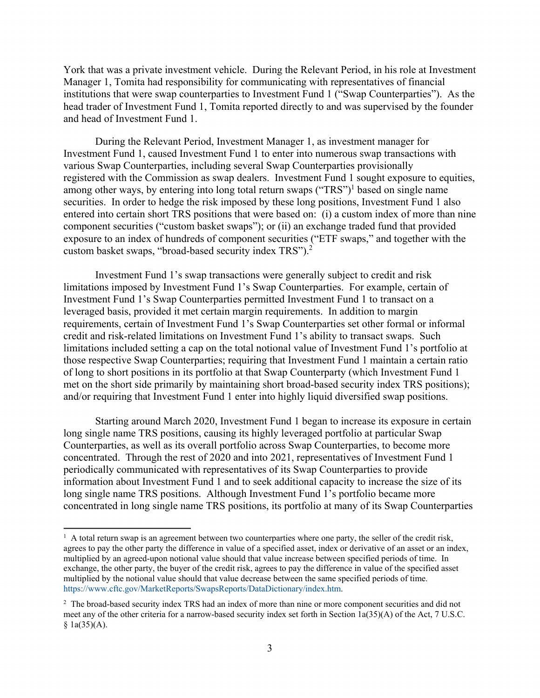York that was a private investment vehicle. During the Relevant Period, in his role at Investment Manager 1, Tomita had responsibility for communicating with representatives of financial institutions that were swap counterparties to Investment Fund 1 ("Swap Counterparties"). As the head trader of Investment Fund 1, Tomita reported directly to and was supervised by the founder and head of Investment Fund 1.

During the Relevant Period, Investment Manager 1, as investment manager for Investment Fund 1, caused Investment Fund 1 to enter into numerous swap transactions with various Swap Counterparties, including several Swap Counterparties provisionally registered with the Commission as swap dealers. Investment Fund 1 sought exposure to equities, among other ways, by entering into long total return swaps ("TRS")<sup>1</sup> based on single name securities. In order to hedge the risk imposed by these long positions, Investment Fund 1 also entered into certain short TRS positions that were based on: (i) a custom index of more than nine component securities ("custom basket swaps"); or (ii) an exchange traded fund that provided exposure to an index of hundreds of component securities ("ETF swaps," and together with the custom basket swaps, "broad-based security index TRS").<sup>2</sup>

Investment Fund 1's swap transactions were generally subject to credit and risk limitations imposed by Investment Fund 1's Swap Counterparties. For example, certain of Investment Fund 1's Swap Counterparties permitted Investment Fund 1 to transact on a leveraged basis, provided it met certain margin requirements. In addition to margin requirements, certain of Investment Fund 1's Swap Counterparties set other formal or informal credit and risk-related limitations on Investment Fund 1's ability to transact swaps. Such limitations included setting a cap on the total notional value of Investment Fund 1's portfolio at those respective Swap Counterparties; requiring that Investment Fund 1 maintain a certain ratio of long to short positions in its portfolio at that Swap Counterparty (which Investment Fund 1 met on the short side primarily by maintaining short broad-based security index TRS positions); and/or requiring that Investment Fund 1 enter into highly liquid diversified swap positions.

Starting around March 2020, Investment Fund 1 began to increase its exposure in certain long single name TRS positions, causing its highly leveraged portfolio at particular Swap Counterparties, as well as its overall portfolio across Swap Counterparties, to become more concentrated. Through the rest of 2020 and into 2021, representatives of Investment Fund 1 periodically communicated with representatives of its Swap Counterparties to provide information about Investment Fund 1 and to seek additional capacity to increase the size of its long single name TRS positions. Although Investment Fund 1's portfolio became more concentrated in long single name TRS positions, its portfolio at many of its Swap Counterparties

 $\overline{a}$ 

<sup>&</sup>lt;sup>1</sup> A total return swap is an agreement between two counterparties where one party, the seller of the credit risk, agrees to pay the other party the difference in value of a specified asset, index or derivative of an asset or an index, multiplied by an agreed-upon notional value should that value increase between specified periods of time. In exchange, the other party, the buyer of the credit risk, agrees to pay the difference in value of the specified asset multiplied by the notional value should that value decrease between the same specified periods of time. https://www.cftc.gov/MarketReports/SwapsReports/DataDictionary/index.htm.

<sup>&</sup>lt;sup>2</sup> The broad-based security index TRS had an index of more than nine or more component securities and did not meet any of the other criteria for a narrow-based security index set forth in Section 1a(35)(A) of the Act, 7 U.S.C.  $§ 1a(35)(A).$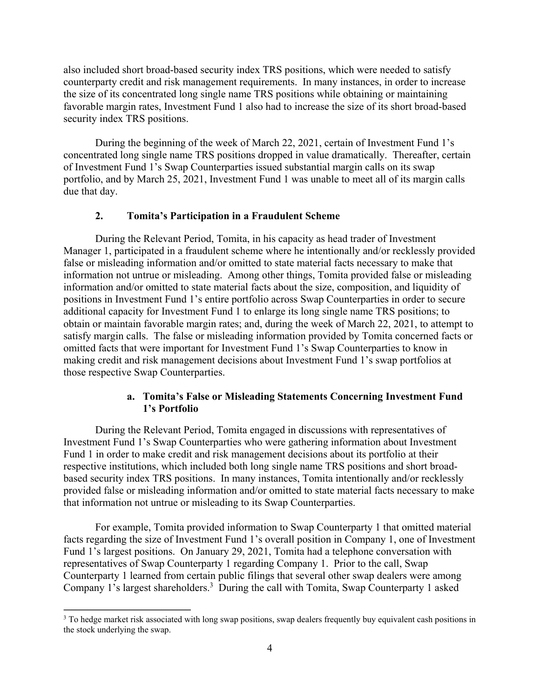also included short broad-based security index TRS positions, which were needed to satisfy counterparty credit and risk management requirements. In many instances, in order to increase the size of its concentrated long single name TRS positions while obtaining or maintaining favorable margin rates, Investment Fund 1 also had to increase the size of its short broad-based security index TRS positions.

During the beginning of the week of March 22, 2021, certain of Investment Fund 1's concentrated long single name TRS positions dropped in value dramatically. Thereafter, certain of Investment Fund 1's Swap Counterparties issued substantial margin calls on its swap portfolio, and by March 25, 2021, Investment Fund 1 was unable to meet all of its margin calls due that day.

#### **2. Tomita's Participation in a Fraudulent Scheme**

During the Relevant Period, Tomita, in his capacity as head trader of Investment Manager 1, participated in a fraudulent scheme where he intentionally and/or recklessly provided false or misleading information and/or omitted to state material facts necessary to make that information not untrue or misleading. Among other things, Tomita provided false or misleading information and/or omitted to state material facts about the size, composition, and liquidity of positions in Investment Fund 1's entire portfolio across Swap Counterparties in order to secure additional capacity for Investment Fund 1 to enlarge its long single name TRS positions; to obtain or maintain favorable margin rates; and, during the week of March 22, 2021, to attempt to satisfy margin calls. The false or misleading information provided by Tomita concerned facts or omitted facts that were important for Investment Fund 1's Swap Counterparties to know in making credit and risk management decisions about Investment Fund 1's swap portfolios at those respective Swap Counterparties.

# **a. Tomita's False or Misleading Statements Concerning Investment Fund 1's Portfolio**

During the Relevant Period, Tomita engaged in discussions with representatives of Investment Fund 1's Swap Counterparties who were gathering information about Investment Fund 1 in order to make credit and risk management decisions about its portfolio at their respective institutions, which included both long single name TRS positions and short broadbased security index TRS positions. In many instances, Tomita intentionally and/or recklessly provided false or misleading information and/or omitted to state material facts necessary to make that information not untrue or misleading to its Swap Counterparties.

For example, Tomita provided information to Swap Counterparty 1 that omitted material facts regarding the size of Investment Fund 1's overall position in Company 1, one of Investment Fund 1's largest positions. On January 29, 2021, Tomita had a telephone conversation with representatives of Swap Counterparty 1 regarding Company 1. Prior to the call, Swap Counterparty 1 learned from certain public filings that several other swap dealers were among Company 1's largest shareholders.<sup>3</sup> During the call with Tomita, Swap Counterparty 1 asked

<u>.</u>

<sup>&</sup>lt;sup>3</sup> To hedge market risk associated with long swap positions, swap dealers frequently buy equivalent cash positions in the stock underlying the swap.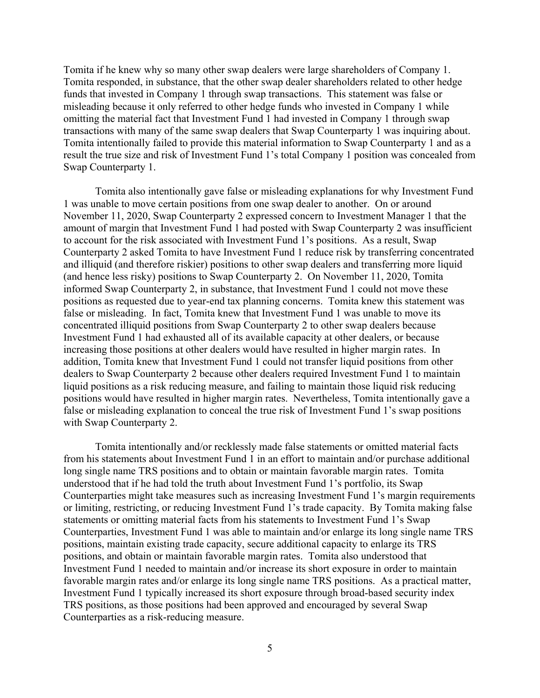Tomita if he knew why so many other swap dealers were large shareholders of Company 1. Tomita responded, in substance, that the other swap dealer shareholders related to other hedge funds that invested in Company 1 through swap transactions. This statement was false or misleading because it only referred to other hedge funds who invested in Company 1 while omitting the material fact that Investment Fund 1 had invested in Company 1 through swap transactions with many of the same swap dealers that Swap Counterparty 1 was inquiring about. Tomita intentionally failed to provide this material information to Swap Counterparty 1 and as a result the true size and risk of Investment Fund 1's total Company 1 position was concealed from Swap Counterparty 1.

Tomita also intentionally gave false or misleading explanations for why Investment Fund 1 was unable to move certain positions from one swap dealer to another. On or around November 11, 2020, Swap Counterparty 2 expressed concern to Investment Manager 1 that the amount of margin that Investment Fund 1 had posted with Swap Counterparty 2 was insufficient to account for the risk associated with Investment Fund 1's positions. As a result, Swap Counterparty 2 asked Tomita to have Investment Fund 1 reduce risk by transferring concentrated and illiquid (and therefore riskier) positions to other swap dealers and transferring more liquid (and hence less risky) positions to Swap Counterparty 2. On November 11, 2020, Tomita informed Swap Counterparty 2, in substance, that Investment Fund 1 could not move these positions as requested due to year-end tax planning concerns. Tomita knew this statement was false or misleading. In fact, Tomita knew that Investment Fund 1 was unable to move its concentrated illiquid positions from Swap Counterparty 2 to other swap dealers because Investment Fund 1 had exhausted all of its available capacity at other dealers, or because increasing those positions at other dealers would have resulted in higher margin rates. In addition, Tomita knew that Investment Fund 1 could not transfer liquid positions from other dealers to Swap Counterparty 2 because other dealers required Investment Fund 1 to maintain liquid positions as a risk reducing measure, and failing to maintain those liquid risk reducing positions would have resulted in higher margin rates. Nevertheless, Tomita intentionally gave a false or misleading explanation to conceal the true risk of Investment Fund 1's swap positions with Swap Counterparty 2.

Tomita intentionally and/or recklessly made false statements or omitted material facts from his statements about Investment Fund 1 in an effort to maintain and/or purchase additional long single name TRS positions and to obtain or maintain favorable margin rates. Tomita understood that if he had told the truth about Investment Fund 1's portfolio, its Swap Counterparties might take measures such as increasing Investment Fund 1's margin requirements or limiting, restricting, or reducing Investment Fund 1's trade capacity. By Tomita making false statements or omitting material facts from his statements to Investment Fund 1's Swap Counterparties, Investment Fund 1 was able to maintain and/or enlarge its long single name TRS positions, maintain existing trade capacity, secure additional capacity to enlarge its TRS positions, and obtain or maintain favorable margin rates. Tomita also understood that Investment Fund 1 needed to maintain and/or increase its short exposure in order to maintain favorable margin rates and/or enlarge its long single name TRS positions. As a practical matter, Investment Fund 1 typically increased its short exposure through broad-based security index TRS positions, as those positions had been approved and encouraged by several Swap Counterparties as a risk-reducing measure.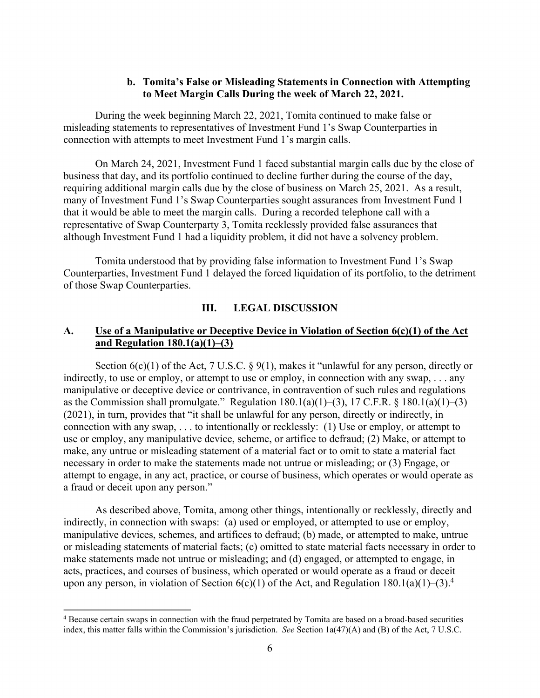#### **b. Tomita's False or Misleading Statements in Connection with Attempting to Meet Margin Calls During the week of March 22, 2021.**

During the week beginning March 22, 2021, Tomita continued to make false or misleading statements to representatives of Investment Fund 1's Swap Counterparties in connection with attempts to meet Investment Fund 1's margin calls.

On March 24, 2021, Investment Fund 1 faced substantial margin calls due by the close of business that day, and its portfolio continued to decline further during the course of the day, requiring additional margin calls due by the close of business on March 25, 2021. As a result, many of Investment Fund 1's Swap Counterparties sought assurances from Investment Fund 1 that it would be able to meet the margin calls. During a recorded telephone call with a representative of Swap Counterparty 3, Tomita recklessly provided false assurances that although Investment Fund 1 had a liquidity problem, it did not have a solvency problem.

Tomita understood that by providing false information to Investment Fund 1's Swap Counterparties, Investment Fund 1 delayed the forced liquidation of its portfolio, to the detriment of those Swap Counterparties.

#### **III. LEGAL DISCUSSION**

#### **A. Use of a Manipulative or Deceptive Device in Violation of Section 6(c)(1) of the Act and Regulation 180.1(a)(1)–(3)**

Section  $6(c)(1)$  of the Act, 7 U.S.C. § 9(1), makes it "unlawful for any person, directly or indirectly, to use or employ, or attempt to use or employ, in connection with any swap, . . . any manipulative or deceptive device or contrivance, in contravention of such rules and regulations as the Commission shall promulgate." Regulation  $180.1(a)(1)–(3)$ ,  $17$  C.F.R. §  $180.1(a)(1)–(3)$ (2021), in turn, provides that "it shall be unlawful for any person, directly or indirectly, in connection with any swap, . . . to intentionally or recklessly: (1) Use or employ, or attempt to use or employ, any manipulative device, scheme, or artifice to defraud; (2) Make, or attempt to make, any untrue or misleading statement of a material fact or to omit to state a material fact necessary in order to make the statements made not untrue or misleading; or (3) Engage, or attempt to engage, in any act, practice, or course of business, which operates or would operate as a fraud or deceit upon any person."

As described above, Tomita, among other things, intentionally or recklessly, directly and indirectly, in connection with swaps: (a) used or employed, or attempted to use or employ, manipulative devices, schemes, and artifices to defraud; (b) made, or attempted to make, untrue or misleading statements of material facts; (c) omitted to state material facts necessary in order to make statements made not untrue or misleading; and (d) engaged, or attempted to engage, in acts, practices, and courses of business, which operated or would operate as a fraud or deceit upon any person, in violation of Section  $6(c)(1)$  of the Act, and Regulation 180.1(a)(1)–(3).<sup>4</sup>

 $\overline{a}$ 

<sup>&</sup>lt;sup>4</sup> Because certain swaps in connection with the fraud perpetrated by Tomita are based on a broad-based securities index, this matter falls within the Commission's jurisdiction. *See* Section 1a(47)(A) and (B) of the Act, 7 U.S.C.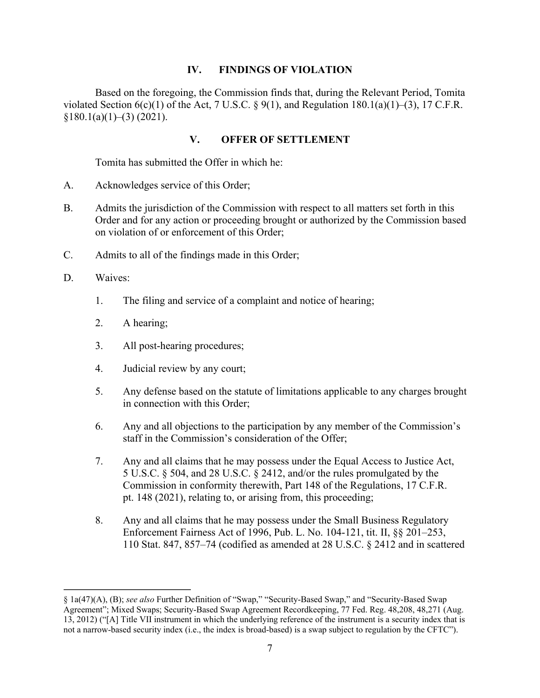### **IV. FINDINGS OF VIOLATION**

Based on the foregoing, the Commission finds that, during the Relevant Period, Tomita violated Section  $6(c)(1)$  of the Act, 7 U.S.C. § 9(1), and Regulation 180.1(a)(1)–(3), 17 C.F.R.  $§180.1(a)(1)–(3)$  (2021).

# **V. OFFER OF SETTLEMENT**

Tomita has submitted the Offer in which he:

- A. Acknowledges service of this Order;
- B. Admits the jurisdiction of the Commission with respect to all matters set forth in this Order and for any action or proceeding brought or authorized by the Commission based on violation of or enforcement of this Order;
- C. Admits to all of the findings made in this Order;
- D. Waives:

 $\overline{a}$ 

- 1. The filing and service of a complaint and notice of hearing;
- 2. A hearing;
- 3. All post-hearing procedures;
- 4. Judicial review by any court;
- 5. Any defense based on the statute of limitations applicable to any charges brought in connection with this Order;
- 6. Any and all objections to the participation by any member of the Commission's staff in the Commission's consideration of the Offer;
- 7. Any and all claims that he may possess under the Equal Access to Justice Act, 5 U.S.C. § 504, and 28 U.S.C. § 2412, and/or the rules promulgated by the Commission in conformity therewith, Part 148 of the Regulations, 17 C.F.R. pt. 148 (2021), relating to, or arising from, this proceeding;
- 8. Any and all claims that he may possess under the Small Business Regulatory Enforcement Fairness Act of 1996, Pub. L. No. 104-121, tit. II, §§ 201–253, 110 Stat. 847, 857–74 (codified as amended at 28 U.S.C. § 2412 and in scattered

<sup>§ 1</sup>a(47)(A), (B); *see also* Further Definition of "Swap," "Security-Based Swap," and "Security-Based Swap Agreement"; Mixed Swaps; Security-Based Swap Agreement Recordkeeping, 77 Fed. Reg. 48,208, 48,271 (Aug. 13, 2012) ("[A] Title VII instrument in which the underlying reference of the instrument is a security index that is not a narrow-based security index (i.e., the index is broad-based) is a swap subject to regulation by the CFTC").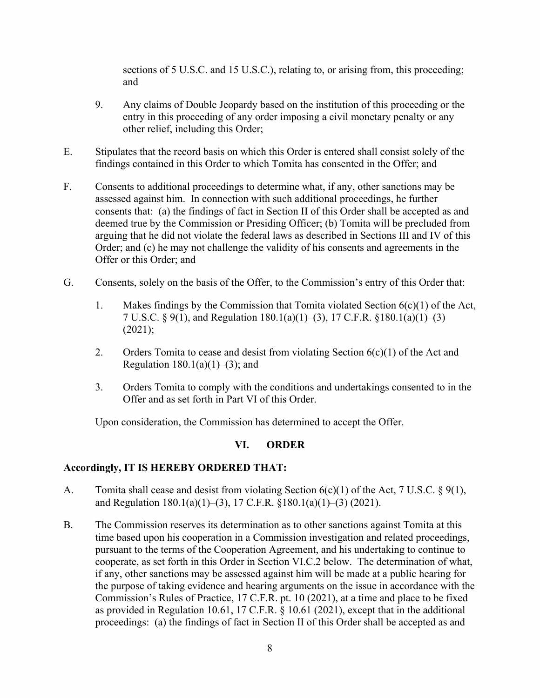sections of 5 U.S.C. and 15 U.S.C.), relating to, or arising from, this proceeding; and

- 9. Any claims of Double Jeopardy based on the institution of this proceeding or the entry in this proceeding of any order imposing a civil monetary penalty or any other relief, including this Order;
- E. Stipulates that the record basis on which this Order is entered shall consist solely of the findings contained in this Order to which Tomita has consented in the Offer; and
- F. Consents to additional proceedings to determine what, if any, other sanctions may be assessed against him. In connection with such additional proceedings, he further consents that: (a) the findings of fact in Section II of this Order shall be accepted as and deemed true by the Commission or Presiding Officer; (b) Tomita will be precluded from arguing that he did not violate the federal laws as described in Sections III and IV of this Order; and (c) he may not challenge the validity of his consents and agreements in the Offer or this Order; and
- G. Consents, solely on the basis of the Offer, to the Commission's entry of this Order that:
	- 1. Makes findings by the Commission that Tomita violated Section 6(c)(1) of the Act, 7 U.S.C. § 9(1), and Regulation 180.1(a)(1)–(3), 17 C.F.R. §180.1(a)(1)–(3)  $(2021);$
	- 2. Orders Tomita to cease and desist from violating Section  $6(c)(1)$  of the Act and Regulation  $180.1(a)(1)–(3)$ ; and
	- 3. Orders Tomita to comply with the conditions and undertakings consented to in the Offer and as set forth in Part VI of this Order.

Upon consideration, the Commission has determined to accept the Offer.

# **VI. ORDER**

# **Accordingly, IT IS HEREBY ORDERED THAT:**

- A. Tomita shall cease and desist from violating Section 6(c)(1) of the Act, 7 U.S.C. § 9(1), and Regulation 180.1(a)(1)–(3), 17 C.F.R. §180.1(a)(1)–(3) (2021).
- B. The Commission reserves its determination as to other sanctions against Tomita at this time based upon his cooperation in a Commission investigation and related proceedings, pursuant to the terms of the Cooperation Agreement, and his undertaking to continue to cooperate, as set forth in this Order in Section VI.C.2 below. The determination of what, if any, other sanctions may be assessed against him will be made at a public hearing for the purpose of taking evidence and hearing arguments on the issue in accordance with the Commission's Rules of Practice, 17 C.F.R. pt. 10 (2021), at a time and place to be fixed as provided in Regulation 10.61, 17 C.F.R. § 10.61 (2021), except that in the additional proceedings: (a) the findings of fact in Section II of this Order shall be accepted as and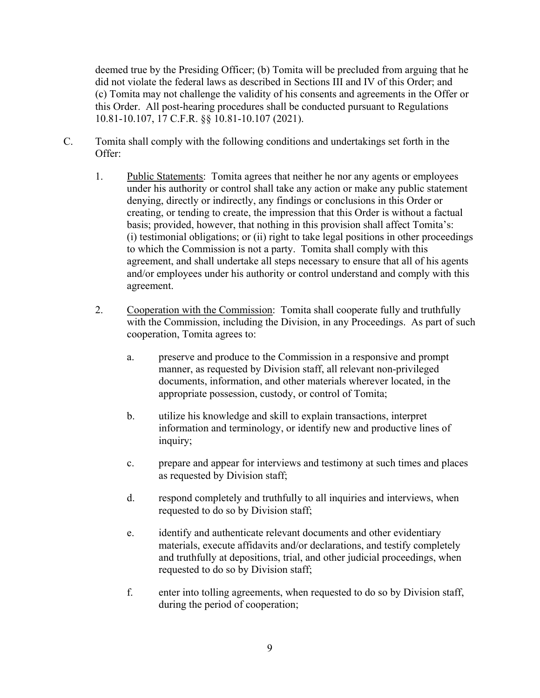deemed true by the Presiding Officer; (b) Tomita will be precluded from arguing that he did not violate the federal laws as described in Sections III and IV of this Order; and (c) Tomita may not challenge the validity of his consents and agreements in the Offer or this Order. All post-hearing procedures shall be conducted pursuant to Regulations 10.81-10.107, 17 C.F.R. §§ 10.81-10.107 (2021).

- C. Tomita shall comply with the following conditions and undertakings set forth in the Offer:
	- 1. Public Statements: Tomita agrees that neither he nor any agents or employees under his authority or control shall take any action or make any public statement denying, directly or indirectly, any findings or conclusions in this Order or creating, or tending to create, the impression that this Order is without a factual basis; provided, however, that nothing in this provision shall affect Tomita's: (i) testimonial obligations; or (ii) right to take legal positions in other proceedings to which the Commission is not a party. Tomita shall comply with this agreement, and shall undertake all steps necessary to ensure that all of his agents and/or employees under his authority or control understand and comply with this agreement.
	- 2. Cooperation with the Commission: Tomita shall cooperate fully and truthfully with the Commission, including the Division, in any Proceedings. As part of such cooperation, Tomita agrees to:
		- a. preserve and produce to the Commission in a responsive and prompt manner, as requested by Division staff, all relevant non-privileged documents, information, and other materials wherever located, in the appropriate possession, custody, or control of Tomita;
		- b. utilize his knowledge and skill to explain transactions, interpret information and terminology, or identify new and productive lines of inquiry;
		- c. prepare and appear for interviews and testimony at such times and places as requested by Division staff;
		- d. respond completely and truthfully to all inquiries and interviews, when requested to do so by Division staff;
		- e. identify and authenticate relevant documents and other evidentiary materials, execute affidavits and/or declarations, and testify completely and truthfully at depositions, trial, and other judicial proceedings, when requested to do so by Division staff;
		- f. enter into tolling agreements, when requested to do so by Division staff, during the period of cooperation;